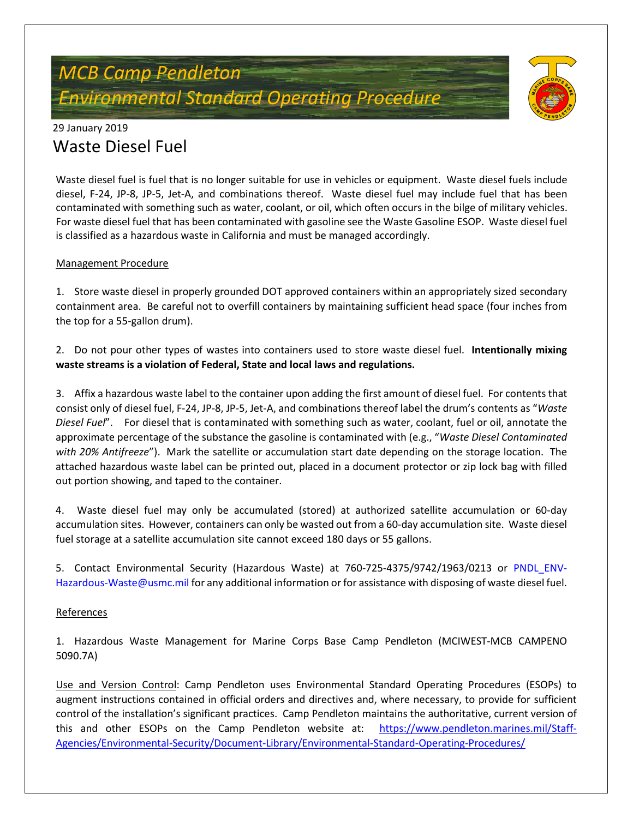## *MCB Camp Pendleton Environmental Standard Operating Procedure*



### 29 January 2019 Waste Diesel Fuel

Waste diesel fuel is fuel that is no longer suitable for use in vehicles or equipment. Waste diesel fuels include diesel, F-24, JP-8, JP-5, Jet-A, and combinations thereof. Waste diesel fuel may include fuel that has been contaminated with something such as water, coolant, or oil, which often occurs in the bilge of military vehicles. For waste diesel fuel that has been contaminated with gasoline see the Waste Gasoline ESOP. Waste diesel fuel is classified as a hazardous waste in California and must be managed accordingly.

#### Management Procedure

1. Store waste diesel in properly grounded DOT approved containers within an appropriately sized secondary containment area. Be careful not to overfill containers by maintaining sufficient head space (four inches from the top for a 55-gallon drum).

2. Do not pour other types of wastes into containers used to store waste diesel fuel. **Intentionally mixing waste streams is a violation of Federal, State and local laws and regulations.**

3. Affix a hazardous waste label to the container upon adding the first amount of diesel fuel. For contents that consist only of diesel fuel, F-24, JP-8, JP-5, Jet-A, and combinations thereof label the drum's contents as "*Waste Diesel Fuel*". For diesel that is contaminated with something such as water, coolant, fuel or oil, annotate the approximate percentage of the substance the gasoline is contaminated with (e.g., "*Waste Diesel Contaminated with 20% Antifreeze*"). Mark the satellite or accumulation start date depending on the storage location. The attached hazardous waste label can be printed out, placed in a document protector or zip lock bag with filled out portion showing, and taped to the container.

4. Waste diesel fuel may only be accumulated (stored) at authorized satellite accumulation or 60-day accumulation sites. However, containers can only be wasted out from a 60-day accumulation site. Waste diesel fuel storage at a satellite accumulation site cannot exceed 180 days or 55 gallons.

5. Contact Environmental Security (Hazardous Waste) at 760-725-4375/9742/1963/0213 or PNDL\_ENV-Hazardous-Waste@usmc.mil for any additional information or for assistance with disposing of waste diesel fuel.

#### **References**

1. Hazardous Waste Management for Marine Corps Base Camp Pendleton (MCIWEST-MCB CAMPENO 5090.7A)

Use and Version Control: Camp Pendleton uses Environmental Standard Operating Procedures (ESOPs) to augment instructions contained in official orders and directives and, where necessary, to provide for sufficient control of the installation's significant practices. Camp Pendleton maintains the authoritative, current version of this and other ESOPs on the Camp Pendleton website at: [https://www.pendleton.marines.mil/Staff-](https://www.pendleton.marines.mil/Staff-Agencies/Environmental-Security/Document-Library/Environmental-Standard-Operating-Procedures/)[Agencies/Environmental-Security/Document-Library/Environmental-Standard-Operating-Procedures/](https://www.pendleton.marines.mil/Staff-Agencies/Environmental-Security/Document-Library/Environmental-Standard-Operating-Procedures/)